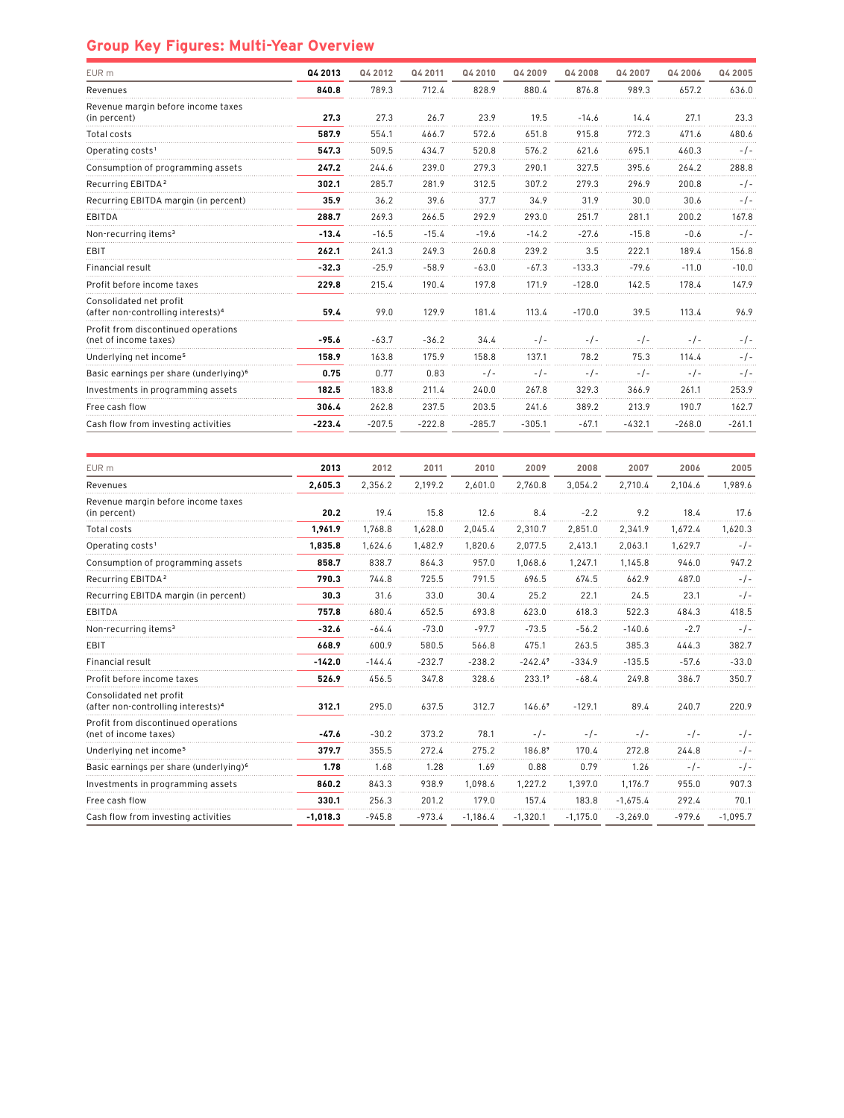## **Group Key Figures: Multi-Year Overview**

| Q4 2013  | Q4 2012  | Q4 2011  | Q4 2010  | Q4 2009  | Q4 2008  | Q4 2007  | Q4 2006  | Q4 2005  |
|----------|----------|----------|----------|----------|----------|----------|----------|----------|
| 840.8    | 789.3    | 712.4    | 828.9    | 880.4    | 876.8    | 989.3    | 657.2    | 636.0    |
| 27.3     | 27.3     | 26.7     | 23.9     | 19.5     | $-14.6$  | 14.4     | 27.1     | 23.3     |
| 587.9    | 554.1    | 466.7    | 572.6    | 651.8    | 915.8    | 772.3    | 471.6    | 480.6    |
| 547.3    | 509.5    | 434.7    | 520.8    | 576.2    | 621.6    | 695.1    | 460.3    | $-1$ -   |
| 247.2    | 244.6    | 239.0    | 279.3    | 290.1    | 327.5    | 395.6    | 264.2    | 288.8    |
| 302.1    | 285.7    | 281.9    | 312.5    | 307.2    | 279.3    | 296.9    | 200.8    | $-1-$    |
| 35.9     | 36.2     | 39.6     | 37.7     | 34.9     | 31.9     | 30.0     | 30.6     | $-1-$    |
| 288.7    | 269.3    | 266.5    | 292.9    | 293.0    | 251.7    | 281.1    | 200.2    | 167.8    |
| $-13.4$  | $-16.5$  | $-15.4$  | $-19.6$  | $-14.2$  | $-27.6$  | $-15.8$  | $-0.6$   | $-1-$    |
| 262.1    | 241.3    | 249.3    | 260.8    | 239.2    | 3.5      | 222.1    | 189.4    | 156.8    |
| $-32.3$  | $-25.9$  | $-58.9$  | $-63.0$  | $-67.3$  | $-133.3$ | $-79.6$  | $-11.0$  | $-10.0$  |
| 229.8    | 215.4    | 190.4    | 197.8    | 171.9    | $-128.0$ | 142.5    | 178.4    | 147.9    |
| 59.4     | 99.0     | 129.9    | 181.4    | 113.4    | $-170.0$ | 39.5     | 113.4    | 96.9     |
| $-95.6$  | $-63.7$  | $-36.2$  | 34.4     | $-1-$    | $-1-$    | $-1-$    | $-1$     | $-1-$    |
| 158.9    | 163.8    | 175.9    | 158.8    | 137.1    | 78.2     | 75.3     | 114.4    | - / -    |
| 0.75     | 0.77     | 0.83     | $-1-$    | $-1-$    | $-1-$    | -7-      | $-1-$    | $-1-$    |
| 182.5    | 183.8    | 211.4    | 240.0    | 267.8    | 329.3    | 366.9    | 261.1    | 253.9    |
| 306.4    | 262.8    | 237.5    | 203.5    | 241.6    | 389.2    | 213.9    | 190.7    | 162.7    |
| $-223.4$ | $-207.5$ | $-222.8$ | $-285.7$ | $-305.1$ | $-67.1$  | $-432.1$ | $-268.0$ | $-261.1$ |
|          |          |          |          |          |          |          |          |          |

| EUR m                                                                     | 2013       | 2012     | 2011     | 2010       | 2009       | 2008       | 2007       | 2006     | 2005       |
|---------------------------------------------------------------------------|------------|----------|----------|------------|------------|------------|------------|----------|------------|
| Revenues                                                                  | 2.605.3    | 2.356.2  | 2.199.2  | 2.601.0    | 2.760.8    | 3.054.2    | 2.710.4    | 2.104.6  | 1.989.6    |
| Revenue margin before income taxes<br>(in percent)                        | 20.2       | 19.4     | 15.8     | 12.6       | 8.4        | $-2.2$     | 9.2        | 18.4     | 17.6       |
| Total costs                                                               | 1,961.9    | 1,768.8  | 1,628.0  | 2,045.4    | 2,310.7    | 2,851.0    | 2,341.9    | 1,672.4  | 1,620.3    |
| Operating costs <sup>1</sup>                                              | 1,835.8    | 1,624.6  | 1,482.9  | 1,820.6    | 2,077.5    | 2,413.1    | 2,063.1    | 1,629.7  | $-1-$      |
| Consumption of programming assets                                         | 858.7      | 838.7    | 864.3    | 957.0      | 1.068.6    | 1.247.1    | 1.145.8    | 946.0    | 947.2      |
| Recurring EBITDA <sup>2</sup>                                             | 790.3      | 744.8    | 725.5    | 791.5      | 696.5      | 674.5      | 662.9      | 487.0    | $-/-$      |
| Recurring EBITDA margin (in percent)                                      | 30.3       | 31.6     | 33.0     | 30.4       | 25.2       | 22.1       | 24.5       | 23.1     | $-1-$      |
| EBITDA                                                                    | 757.8      | 680.4    | 652.5    | 693.8      | 623.0      | 618.3      | 522.3      | 484.3    | 418.5      |
| Non-recurring items <sup>3</sup>                                          | $-32.6$    | $-64.4$  | $-73.0$  | $-97.7$    | $-73.5$    | $-56.2$    | $-140.6$   | $-2.7$   | $-/-$      |
| EBIT                                                                      | 668.9      | 600.9    | 580.5    | 566.8      | 475.1      | 263.5      | 385.3      | 444.3    | 382.7      |
| Financial result                                                          | $-142.0$   | $-144.4$ | $-232.7$ | $-238.2$   | $-242.49$  | $-334.9$   | $-135.5$   | $-57.6$  | $-33.0$    |
| Profit before income taxes                                                | 526.9      | 456.5    | 347.8    | 328.6      | $233.1^9$  | $-68.4$    | 249.8      | 386.7    | 350.7      |
| Consolidated net profit<br>(after non-controlling interests) <sup>4</sup> | 312.1      | 295.0    | 637.5    | 312.7      | $146.6^9$  | $-129.1$   | 89.4       | 240.7    | 220.9      |
| Profit from discontinued operations<br>(net of income taxes)              | $-47.6$    | $-30.2$  | 373.2    | 78.1       | $-1-$      | $-1-$      | $-1-$      | $-1$ -   | - / -      |
| Underlying net income <sup>5</sup>                                        | 379.7      | 355.5    | 272.4    | 275.2      | 186.89     | 170.4      | 272.8      | 244.8    | $-1-$      |
| Basic earnings per share (underlying) <sup>6</sup>                        | 1.78       | 1.68     | 1.28     | 1.69       | 0.88       | 0.79       | 1.26       | $-1-$    | $-1-$      |
| Investments in programming assets                                         | 860.2      | 843.3    | 938.9    | 1.098.6    | 1.227.2    | 1.397.0    | 1.176.7    | 955.0    | 907.3      |
| Free cash flow                                                            | 330.1      | 256.3    | 201.2    | 179.0      | 157.4      | 183.8      | $-1,675.4$ | 292.4    | 70.1       |
| Cash flow from investing activities                                       | $-1,018.3$ | $-945.8$ | $-973.4$ | $-1,186.4$ | $-1,320.1$ | $-1,175.0$ | $-3,269.0$ | $-979.6$ | $-1,095.7$ |